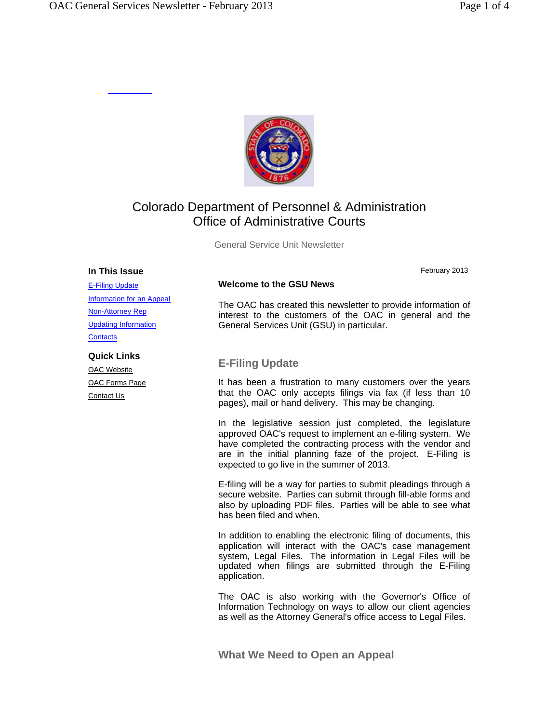

# Colorado Department of Personnel & Administration Office of Administrative Courts

General Service Unit Newsletter

#### **In This Issue**

February 2013

# **Welcome to the GSU News**

The OAC has created this newsletter to provide information of interest to the customers of the OAC in general and the General Services Unit (GSU) in particular.

# **E-Filing Update**

It has been a frustration to many customers over the years that the OAC only accepts filings via fax (if less than 10 pages), mail or hand delivery. This may be changing.

In the legislative session just completed, the legislature approved OAC's request to implement an e-filing system. We have completed the contracting process with the vendor and are in the initial planning faze of the project. E-Filing is expected to go live in the summer of 2013.

E-filing will be a way for parties to submit pleadings through a secure website. Parties can submit through fill-able forms and also by uploading PDF files. Parties will be able to see what has been filed and when.

In addition to enabling the electronic filing of documents, this application will interact with the OAC's case management system, Legal Files. The information in Legal Files will be updated when filings are submitted through the E-Filing application.

The OAC is also working with the Governor's Office of Information Technology on ways to allow our client agencies as well as the Attorney General's office access to Legal Files.

**What We Need to Open an Appeal** 

E-Filing Update Information for an Appeal Non-Attorney Rep Updating Information **Contacts** 

# **Quick Links**

OAC Website OAC Forms Page Contact Us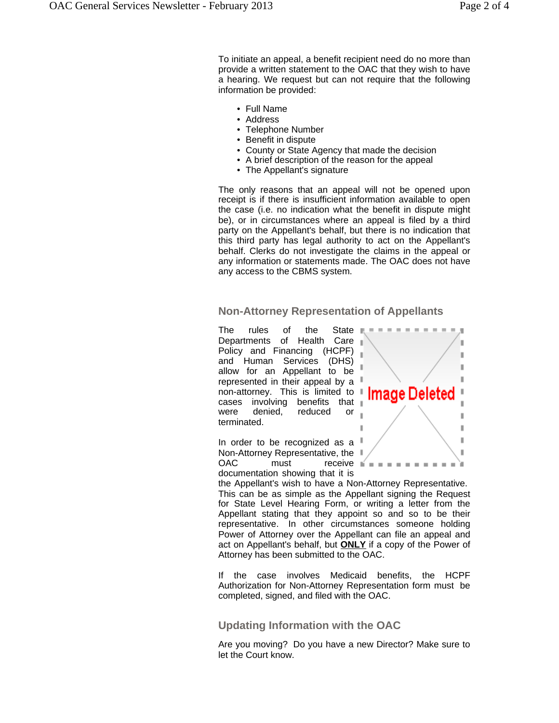To initiate an appeal, a benefit recipient need do no more than provide a written statement to the OAC that they wish to have a hearing. We request but can not require that the following information be provided:

- Full Name
- Address
- Telephone Number
- Benefit in dispute
- County or State Agency that made the decision
- A brief description of the reason for the appeal
- The Appellant's signature

The only reasons that an appeal will not be opened upon receipt is if there is insufficient information available to open the case (i.e. no indication what the benefit in dispute might be), or in circumstances where an appeal is filed by a third party on the Appellant's behalf, but there is no indication that this third party has legal authority to act on the Appellant's behalf. Clerks do not investigate the claims in the appeal or any information or statements made. The OAC does not have any access to the CBMS system.

## **Non-Attorney Representation of Appellants**

The rules of the State Departments of Health Care Policy and Financing (HCPF) and Human Services (DHS) allow for an Appellant to be represented in their appeal by a non-attorney. This is limited to  $\blacksquare$ cases involving benefits that were denied, reduced or terminated.



In order to be recognized as a Non-Attorney Representative, the OAC must receive documentation showing that it is

the Appellant's wish to have a Non-Attorney Representative. This can be as simple as the Appellant signing the Request for State Level Hearing Form, or writing a letter from the Appellant stating that they appoint so and so to be their representative. In other circumstances someone holding Power of Attorney over the Appellant can file an appeal and act on Appellant's behalf, but **ONLY** if a copy of the Power of Attorney has been submitted to the OAC.

If the case involves Medicaid benefits, the HCPF Authorization for Non-Attorney Representation form must be completed, signed, and filed with the OAC.

### **Updating Information with the OAC**

Are you moving? Do you have a new Director? Make sure to let the Court know.